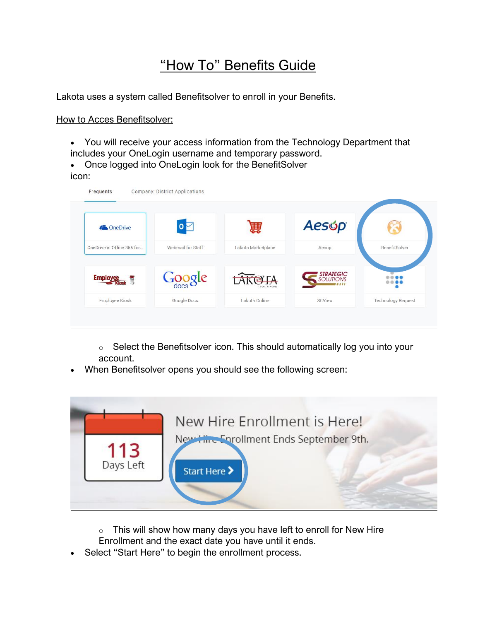## "How To" Benefits Guide

Lakota uses a system called Benefitsolver to enroll in your Benefits.

How to Acces Benefitsolver:

- You will receive your access information from the Technology Department that
- includes your OneLogin username and temporary password.
- Once logged into OneLogin look for the BenefitSolver icon:

| <b>ConeDrive</b>           | $\mathbf{0}$      | 簈                    | <b>Aesop</b>                  |                           |
|----------------------------|-------------------|----------------------|-------------------------------|---------------------------|
| OneDrive in Office 365 for | Webmail for Staff | Lakota Marketplace   | Aesop                         | BenefitSolver             |
| <b>Employee</b>            | Google            | ΓA.<br>LOCAL SCHOOLS | <b>STRATEGIC</b><br>SOLUTIONS |                           |
| Employee Kiosk             | Google Docs       | Lakota Online        | SCView                        | <b>Technology Request</b> |

o Select the Benefitsolver icon. This should automatically log you into your account.

• When Benefitsolver opens you should see the following screen:



- $\circ$  This will show how many days you have left to enroll for New Hire
- Enrollment and the exact date you have until it ends.
- Select "Start Here" to begin the enrollment process.